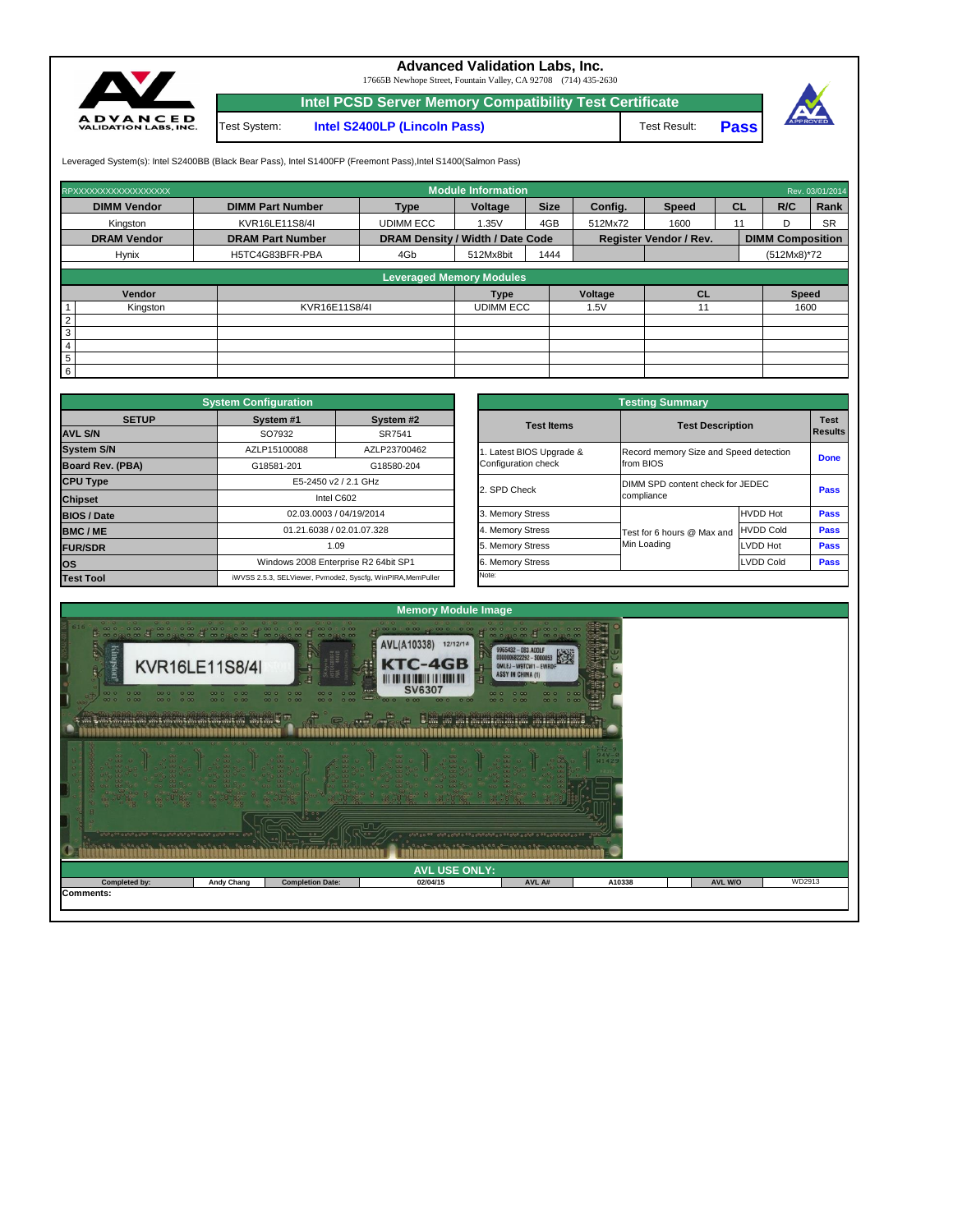

## **Advanced Validation Labs, Inc.**

17665B Newhope Street, Fountain Valley, CA 92708 (714) 435-2630

**Intel PCSD Server Memory Compatibility Test Certificate**

Test Result: **Pass**



Leveraged System(s): Intel S2400BB (Black Bear Pass), Intel S1400FP (Freemont Pass), Intel S1400(Salmon Pass)

|                 | RPXXXXXXXXXXXXXXXXXX |                         |                                         | <b>Module Information</b> |             |                |                               |           |                         | Rev. 03/01/2014 |
|-----------------|----------------------|-------------------------|-----------------------------------------|---------------------------|-------------|----------------|-------------------------------|-----------|-------------------------|-----------------|
|                 | <b>DIMM Vendor</b>   | <b>DIMM Part Number</b> | <b>Type</b>                             | Voltage                   | <b>Size</b> | Config.        | <b>Speed</b>                  | <b>CL</b> | R/C                     | Rank            |
|                 | Kingston             | KVR16LE11S8/4I          | <b>UDIMM ECC</b>                        | 1.35V                     | 4GB         | 512Mx72        | 1600                          | 11        |                         | <b>SR</b>       |
|                 | <b>DRAM Vendor</b>   | <b>DRAM Part Number</b> | <b>DRAM Density / Width / Date Code</b> |                           |             |                | <b>Register Vendor / Rev.</b> |           | <b>DIMM Composition</b> |                 |
|                 | <b>Hynix</b>         | H5TC4G83BFR-PBA         | 4Gb                                     | 512Mx8bit                 | 1444        |                |                               |           | $(512Mx8)*72$           |                 |
|                 |                      |                         | <b>Leveraged Memory Modules</b>         |                           |             |                |                               |           |                         |                 |
|                 |                      |                         |                                         |                           |             |                |                               |           |                         |                 |
|                 | Vendor               |                         |                                         | <b>Type</b>               |             | <b>Voltage</b> | <b>CL</b>                     |           | <b>Speed</b>            |                 |
|                 | Kingston             | KVR16E11S8/4I           |                                         | <b>UDIMM ECC</b>          |             | 1.5V           | 11                            |           | 1600                    |                 |
| $\overline{2}$  |                      |                         |                                         |                           |             |                |                               |           |                         |                 |
| 3               |                      |                         |                                         |                           |             |                |                               |           |                         |                 |
| $\overline{4}$  |                      |                         |                                         |                           |             |                |                               |           |                         |                 |
| $5\phantom{.0}$ |                      |                         |                                         |                           |             |                |                               |           |                         |                 |
| $\overline{6}$  |                      |                         |                                         |                           |             |                |                               |           |                         |                 |

Test System: **Intel S2400LP (Lincoln Pass)**

|                         | <b>System Configuration</b> |                                                             |                       | <b>Testing Summary</b>                 |                                  |                |  |  |  |
|-------------------------|-----------------------------|-------------------------------------------------------------|-----------------------|----------------------------------------|----------------------------------|----------------|--|--|--|
| <b>SETUP</b>            | System #1                   | System #2                                                   | <b>Test Items</b>     | <b>Test Description</b>                |                                  | <b>Test</b>    |  |  |  |
| <b>AVL S/N</b>          | SO7932                      | SR7541                                                      |                       |                                        |                                  | <b>Results</b> |  |  |  |
| <b>System S/N</b>       | AZLP15100088                | AZLP23700462                                                | Latest BIOS Upgrade & | Record memory Size and Speed detection |                                  | <b>Done</b>    |  |  |  |
| <b>Board Rev. (PBA)</b> | G18581-201<br>G18580-204    |                                                             | Configuration check   | from BIOS                              |                                  |                |  |  |  |
| <b>CPU Type</b>         |                             | E5-2450 v2 / 2.1 GHz                                        | 2. SPD Check          |                                        | DIMM SPD content check for JEDEC |                |  |  |  |
| <b>Chipset</b>          |                             | Intel C602                                                  |                       | compliance                             | <b>Pass</b>                      |                |  |  |  |
| <b>BIOS / Date</b>      | 02.03.0003 / 04/19/2014     |                                                             | 3. Memory Stress      |                                        | <b>HVDD Hot</b>                  | <b>Pass</b>    |  |  |  |
| <b>BMC/ME</b>           |                             | 01.21.6038 / 02.01.07.328                                   | 4. Memory Stress      | Test for 6 hours @ Max and             | <b>HVDD Cold</b>                 | <b>Pass</b>    |  |  |  |
| <b>FUR/SDR</b>          |                             | 1.09                                                        | 5. Memory Stress      | Min Loading                            | <b>LVDD Hot</b>                  | <b>Pass</b>    |  |  |  |
| <b>OS</b>               |                             | Windows 2008 Enterprise R2 64bit SP1                        | 6. Memory Stress      |                                        | LVDD Cold                        |                |  |  |  |
| <b>Test Tool</b>        |                             | iWVSS 2.5.3, SELViewer, Pvmode2, Syscfg, WinPIRA, MemPuller | Note:                 |                                        |                                  |                |  |  |  |

|                                                 | <b>Testing Summary</b>                              |                  |                               |  |
|-------------------------------------------------|-----------------------------------------------------|------------------|-------------------------------|--|
| <b>Test Items</b>                               | <b>Test Description</b>                             |                  | <b>Test</b><br><b>Results</b> |  |
| 1. Latest BIOS Upgrade &<br>Configuration check | Record memory Size and Speed detection<br>from BIOS |                  | <b>Done</b>                   |  |
| 2. SPD Check                                    | DIMM SPD content check for JEDEC<br>compliance      | <b>Pass</b>      |                               |  |
| 3. Memory Stress                                |                                                     | <b>HVDD Hot</b>  | <b>Pass</b>                   |  |
| 4. Memory Stress                                | Test for 6 hours @ Max and                          | <b>HVDD Cold</b> | <b>Pass</b>                   |  |
| 5. Memory Stress                                | Min Loading                                         | LVDD Hot         | <b>Pass</b>                   |  |
| 6. Memory Stress                                |                                                     | <b>LVDD Cold</b> | <b>Pass</b>                   |  |
| Note:                                           |                                                     |                  |                               |  |

| <b>THE REAL PROPERTY OF STATE OF STATE OF STATE OF STATE OF STATE OF STATE OF STATE OF STATE OF STATE OF STATE OF</b> |                   | regional consequence of the consequence of the consequence of the consequence of the consequence of the consequence of the consequence of the consequence of the consequence of the consequence of the consequence of the cons<br>00<br>00 | 1 1 1990 0990 1900 0990990 09990 1900 0990900 0990 | <b>1980 - 1980 - 1980 - 1980 - 1980</b> |        |                |        |
|-----------------------------------------------------------------------------------------------------------------------|-------------------|--------------------------------------------------------------------------------------------------------------------------------------------------------------------------------------------------------------------------------------------|----------------------------------------------------|-----------------------------------------|--------|----------------|--------|
|                                                                                                                       |                   |                                                                                                                                                                                                                                            | <b>AVL USE ONLY:</b>                               |                                         |        |                |        |
| <b>Completed by:</b>                                                                                                  | <b>Andy Chang</b> | <b>Completion Date:</b>                                                                                                                                                                                                                    | 02/04/15                                           | AVL A#                                  | A10338 | <b>AVL W/O</b> | WD2913 |
| <b>Comments:</b>                                                                                                      |                   |                                                                                                                                                                                                                                            |                                                    |                                         |        |                |        |